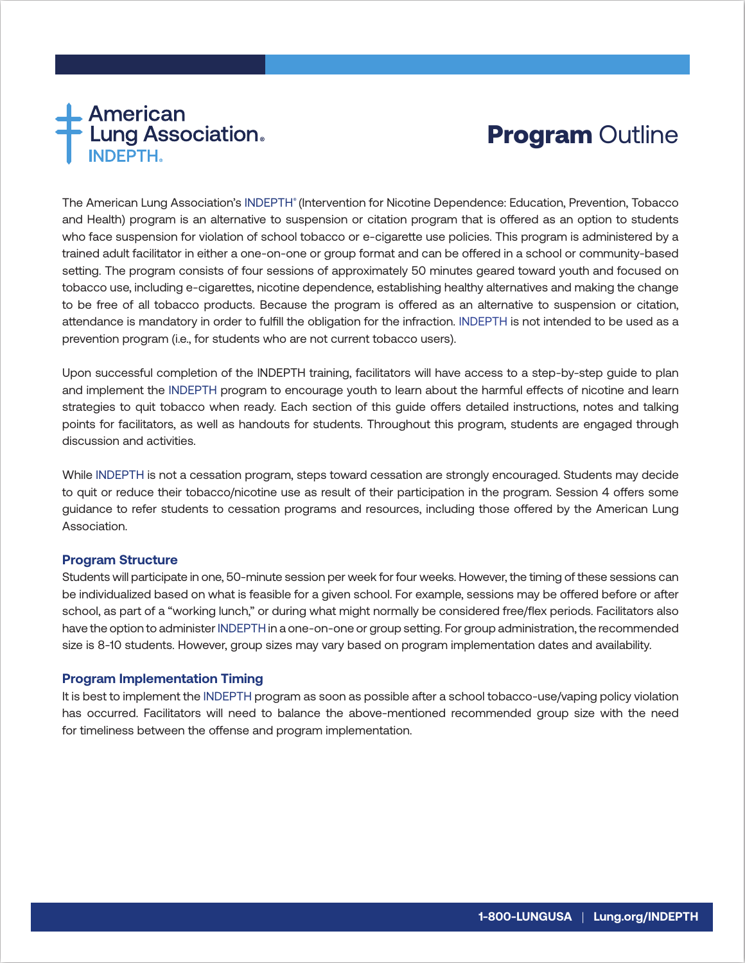# **American<br>Lung Association.**<br>INDEPTH.

# **Program Outline**

The American Lung Association's INDEPTH® (Intervention for Nicotine Dependence: Education, Prevention, Tobacco and Health) program is an alternative to suspension or citation program that is offered as an option to students who face suspension for violation of school tobacco or e-cigarette use policies. This program is administered by a trained adult facilitator in either a one-on-one or group format and can be offered in a school or community-based setting. The program consists of four sessions of approximately 50 minutes geared toward youth and focused on tobacco use, including e-cigarettes, nicotine dependence, establishing healthy alternatives and making the change to be free of all tobacco products. Because the program is offered as an alternative to suspension or citation, attendance is mandatory in order to fulfill the obligation for the infraction. INDEPTH is not intended to be used as a prevention program (i.e., for students who are not current tobacco users).

Upon successful completion of the INDEPTH training, facilitators will have access to a step-by-step guide to plan and implement the INDEPTH program to encourage youth to learn about the harmful effects of nicotine and learn strategies to quit tobacco when ready. Each section of this guide offers detailed instructions, notes and talking points for facilitators, as well as handouts for students. Throughout this program, students are engaged through discussion and activities.

While INDEPTH is not a cessation program, steps toward cessation are strongly encouraged. Students may decide to quit or reduce their tobacco/nicotine use as result of their participation in the program. Session 4 offers some guidance to refer students to cessation programs and resources, including those offered by the American Lung Association.

#### **Program Structure**

Students will participate in one, 50-minute session per week for four weeks. However, the timing of these sessions can be individualized based on what is feasible for a given school. For example, sessions may be offered before or after school, as part of a "working lunch," or during what might normally be considered free/flex periods. Facilitators also have the option to administer INDEPTH in a one-on-one or group setting. For group administration, the recommended size is 8-10 students. However, group sizes may vary based on program implementation dates and availability.

#### **Program Implementation Timing**

It is best to implement the INDEPTH program as soon as possible after a school tobacco-use/vaping policy violation has occurred. Facilitators will need to balance the above-mentioned recommended group size with the need for timeliness between the offense and program implementation.